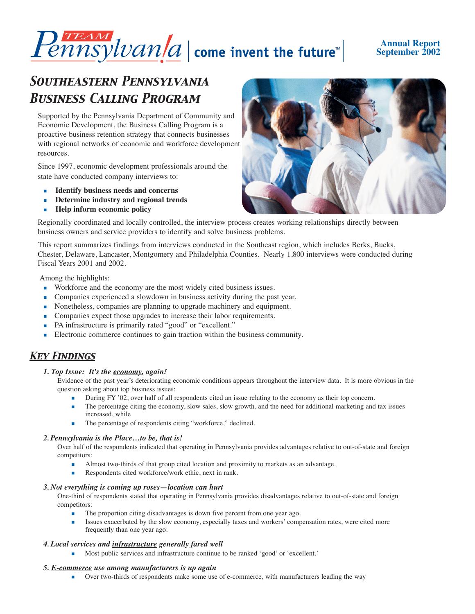# $\overline{Penasylvan}|a|$  come invent the future"

## **Annual Report September 2002**

# *Southeastern Pennsylvania Business Calling Program*

Supported by the Pennsylvania Department of Community and Economic Development, the Business Calling Program is a proactive business retention strategy that connects businesses with regional networks of economic and workforce development resources.

Since 1997, economic development professionals around the state have conducted company interviews to:

- **Identify business needs and concerns**
- **Determine industry and regional trends**
- **Help inform economic policy**



Regionally coordinated and locally controlled, the interview process creates working relationships directly between business owners and service providers to identify and solve business problems.

This report summarizes findings from interviews conducted in the Southeast region, which includes Berks, Bucks, Chester, Delaware, Lancaster, Montgomery and Philadelphia Counties. Nearly 1,800 interviews were conducted during Fiscal Years 2001 and 2002.

Among the highlights:

- Workforce and the economy are the most widely cited business issues.
- Companies experienced a slowdown in business activity during the past year.
- Nonetheless, companies are planning to upgrade machinery and equipment.
- Companies expect those upgrades to increase their labor requirements.
- PA infrastructure is primarily rated "good" or "excellent."
- Electronic commerce continues to gain traction within the business community.

# *Key Findings*

### *1. Top Issue: It's the economy, again!*

Evidence of the past year's deteriorating economic conditions appears throughout the interview data. It is more obvious in the question asking about top business issues:

- **During FY '02, over half of all respondents cited an issue relating to the economy as their top concern.**
- The percentage citing the economy, slow sales, slow growth, and the need for additional marketing and tax issues increased, while
- The percentage of respondents citing "workforce," declined.

### 2. Pennsylvania is <u>the Place</u>...to be, that is!

Over half of the respondents indicated that operating in Pennsylvania provides advantages relative to out-of-state and foreign competitors:

- Almost two-thirds of that group cited location and proximity to markets as an advantage.
- Respondents cited workforce/work ethic, next in rank.

#### *3. Not everything is coming up roses—location can hurt*

One-third of respondents stated that operating in Pennsylvania provides disadvantages relative to out-of-state and foreign competitors:

- The proportion citing disadvantages is down five percent from one year ago.
- Issues exacerbated by the slow economy, especially taxes and workers' compensation rates, were cited more frequently than one year ago.

#### *4. Local services and infrastructure generally fared well*

Most public services and infrastructure continue to be ranked 'good' or 'excellent.'

#### *5. E-commerce use among manufacturers is up again*

Over two-thirds of respondents make some use of e-commerce, with manufacturers leading the way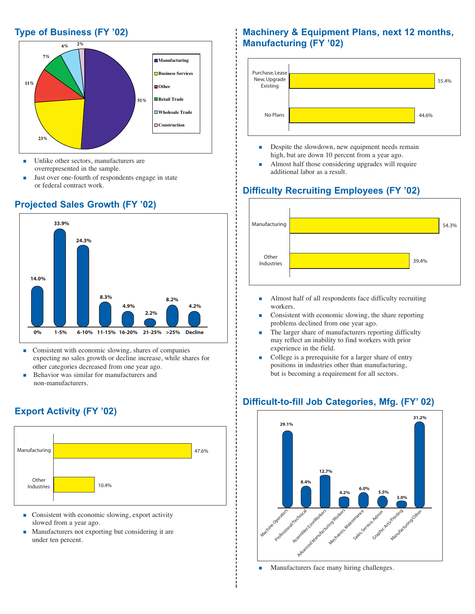## **Type of Business (FY '02)**



- **IDULE** Unlike other sectors, manufacturers are overrepresented in the sample.
- Just over one-fourth of respondents engage in state or federal contract work.

# **14.0% 4.9% 8.3% 24.3% 33.9% 4.2% 8.2% 2.2% 0% 1-5% 6-10% 11-15% 16-20% 21-25% >25% Decline**

- **Consistent with economic slowing, shares of companies** expecting no sales growth or decline increase, while shares for other categories decreased from one year ago.
- Behavior was similar for manufacturers and non-manufacturers.

# **Export Activity (FY '02)**



- **Consistent with economic slowing, export activity** slowed from a year ago.
- **Manufacturers not exporting but considering it are** under ten percent.

# **Machinery & Equipment Plans, next 12 months, Manufacturing (FY '02)**



- **Despite the slowdown, new equipment needs remain** high, but are down 10 percent from a year ago.
- Almost half those considering upgrades will require additional labor as a result.

# **Difficulty Recruiting Employees (FY '02)**



- Almost half of all respondents face difficulty recruiting workers.
- Consistent with economic slowing, the share reporting problems declined from one year ago.
- The larger share of manufacturers reporting difficulty may reflect an inability to find workers with prior experience in the field.
- College is a prerequisite for a larger share of entry positions in industries other than manufacturing, but is becoming a requirement for all sectors.

# **Difficult-to-fill Job Categories, Mfg. (FY' 02)**



**Manufacturers face many hiring challenges.** 

# **Projected Sales Growth (FY '02)**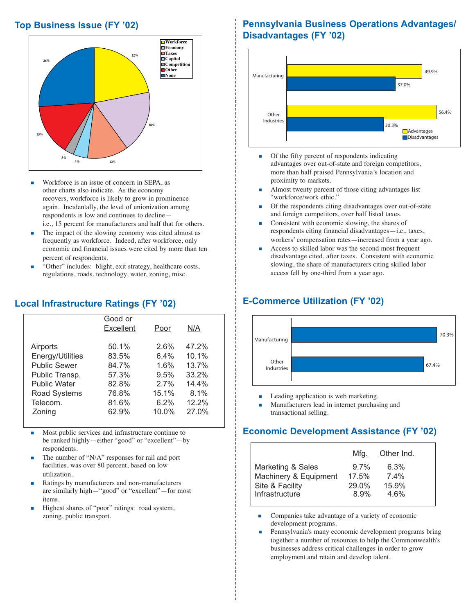## **Top Business Issue (FY '02)**



- Workforce is an issue of concern in SEPA, as other charts also indicate. As the economy recovers, workforce is likely to grow in prominence again. Incidentally, the level of unionization among respondents is low and continues to decline i.e., 15 percent for manufacturers and half that for others.
- The impact of the slowing economy was cited almost as frequently as workforce. Indeed, after workforce, only economic and financial issues were cited by more than ten percent of respondents.
- "Other" includes: blight, exit strategy, healthcare costs, regulations, roads, technology, water, zoning, misc.

## **Local Infrastructure Ratings (FY '02)**

|                     | Good or<br><b>Excellent</b> | Poor  | N/A   |  |
|---------------------|-----------------------------|-------|-------|--|
| Airports            | 50.1%                       | 2.6%  | 47.2% |  |
| Energy/Utilities    | 83.5%                       | 6.4%  | 10.1% |  |
| <b>Public Sewer</b> | 84.7%                       | 1.6%  | 13.7% |  |
| Public Transp.      | 57.3%                       | 9.5%  | 33.2% |  |
| <b>Public Water</b> | 82.8%                       | 2.7%  | 14.4% |  |
| <b>Road Systems</b> | 76.8%                       | 15.1% | 8.1%  |  |
| Telecom.            | 81.6%                       | 6.2%  | 12.2% |  |
| Zoning              | 62.9%                       | 10.0% | 27.0% |  |
|                     |                             |       |       |  |

- Most public services and infrastructure continue to be ranked highly—either "good" or "excellent"—by respondents.
- The number of "N/A" responses for rail and port facilities, was over 80 percent, based on low utilization.
- Ratings by manufacturers and non-manufacturers are similarly high—"good" or "excellent"—for most items.
- Highest shares of "poor" ratings: road system, zoning, public transport.

# **Pennsylvania Business Operations Advantages/ Disadvantages (FY '02)**



- Of the fifty percent of respondents indicating advantages over out-of-state and foreign competitors, more than half praised Pennsylvania's location and proximity to markets.
- Almost twenty percent of those citing advantages list "workforce/work ethic."
- Of the respondents citing disadvantages over out-of-state and foreign competitors, over half listed taxes.
- Consistent with economic slowing, the shares of respondents citing financial disadvantages—i.e., taxes, workers' compensation rates—increased from a year ago.
- Access to skilled labor was the second most frequent disadvantage cited, after taxes. Consistent with economic slowing, the share of manufacturers citing skilled labor access fell by one-third from a year ago.

# **E-Commerce Utilization (FY '02)**



- **Leading application is web marketing.**
- Manufacturers lead in internet purchasing and transactional selling.

# **Economic Development Assistance (FY '02)**

|                                          | Mfg.           | Other Ind.       |
|------------------------------------------|----------------|------------------|
| Marketing & Sales                        | $9.7\%$        | 6.3%             |
| Machinery & Equipment<br>Site & Facility | 17.5%<br>29.0% | $7.4\%$<br>15.9% |
| Infrastructure                           | 8.9%           | 4.6%             |

- Companies take advantage of a variety of economic development programs.
- Pennsylvania's many economic development programs bring together a number of resources to help the Commonwealth's businesses address critical challenges in order to grow employment and retain and develop talent.